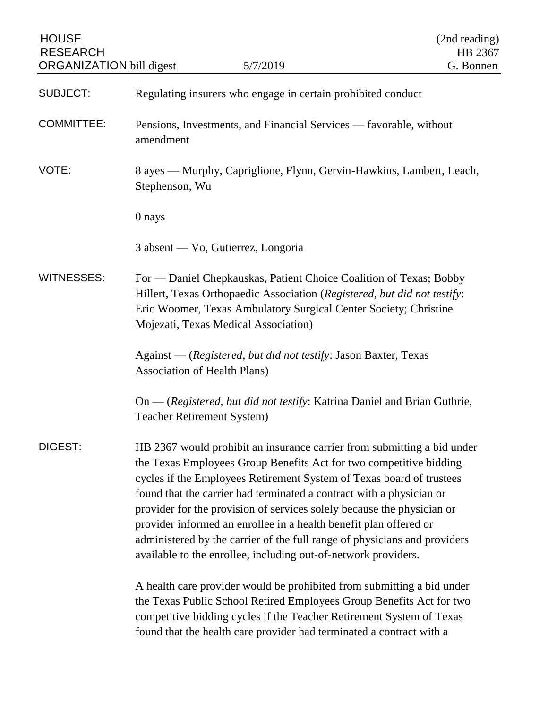| <b>HOUSE</b><br><b>RESEARCH</b><br><b>ORGANIZATION</b> bill digest | 5/7/2019                                                                                                                                                                                                                                                                                                                                                                                                                                                                                                                                                                                    | (2nd reading)<br>HB 2367<br>G. Bonnen |
|--------------------------------------------------------------------|---------------------------------------------------------------------------------------------------------------------------------------------------------------------------------------------------------------------------------------------------------------------------------------------------------------------------------------------------------------------------------------------------------------------------------------------------------------------------------------------------------------------------------------------------------------------------------------------|---------------------------------------|
|                                                                    |                                                                                                                                                                                                                                                                                                                                                                                                                                                                                                                                                                                             |                                       |
| <b>SUBJECT:</b>                                                    | Regulating insurers who engage in certain prohibited conduct                                                                                                                                                                                                                                                                                                                                                                                                                                                                                                                                |                                       |
| <b>COMMITTEE:</b>                                                  | Pensions, Investments, and Financial Services — favorable, without<br>amendment                                                                                                                                                                                                                                                                                                                                                                                                                                                                                                             |                                       |
| VOTE:                                                              | 8 ayes — Murphy, Capriglione, Flynn, Gervin-Hawkins, Lambert, Leach,<br>Stephenson, Wu                                                                                                                                                                                                                                                                                                                                                                                                                                                                                                      |                                       |
|                                                                    | 0 nays                                                                                                                                                                                                                                                                                                                                                                                                                                                                                                                                                                                      |                                       |
|                                                                    | 3 absent — Vo, Gutierrez, Longoria                                                                                                                                                                                                                                                                                                                                                                                                                                                                                                                                                          |                                       |
| <b>WITNESSES:</b>                                                  | For — Daniel Chepkauskas, Patient Choice Coalition of Texas; Bobby<br>Hillert, Texas Orthopaedic Association (Registered, but did not testify:<br>Eric Woomer, Texas Ambulatory Surgical Center Society; Christine<br>Mojezati, Texas Medical Association)                                                                                                                                                                                                                                                                                                                                  |                                       |
|                                                                    | Against — (Registered, but did not testify: Jason Baxter, Texas<br><b>Association of Health Plans)</b>                                                                                                                                                                                                                                                                                                                                                                                                                                                                                      |                                       |
|                                                                    | $On - (registered, but did not testify: Katrina Daniel and Brian Guthrie,$<br><b>Teacher Retirement System)</b>                                                                                                                                                                                                                                                                                                                                                                                                                                                                             |                                       |
| DIGEST:                                                            | HB 2367 would prohibit an insurance carrier from submitting a bid under<br>the Texas Employees Group Benefits Act for two competitive bidding<br>cycles if the Employees Retirement System of Texas board of trustees<br>found that the carrier had terminated a contract with a physician or<br>provider for the provision of services solely because the physician or<br>provider informed an enrollee in a health benefit plan offered or<br>administered by the carrier of the full range of physicians and providers<br>available to the enrollee, including out-of-network providers. |                                       |
|                                                                    | A health care provider would be prohibited from submitting a bid under<br>the Texas Public School Retired Employees Group Benefits Act for two<br>competitive bidding cycles if the Teacher Retirement System of Texas<br>found that the health care provider had terminated a contract with a                                                                                                                                                                                                                                                                                              |                                       |